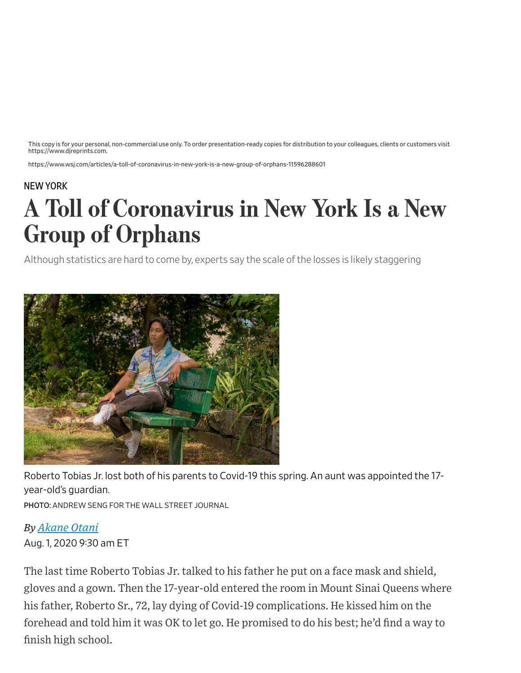This copy is for your personal, non-commercial use only. To order presentation-ready copies for distribution to your colleagues, clients or customers visit https://www.djreprints.com.

https://www.wsj.com/articles/a-toll-of-coronavirus-in-new-york-is-a-new-group-of-orphans-11596288601

## NEW [YORK](https://www.wsj.com/news/us/greater-new-york?mod=breadcrumb)

## A Toll of Coronavirus in New York Is a New Group of Orphans

Although statistics are hard to come by, experts say the scale of the losses is likely staggering



Roberto Tobias Jr. lost both of his parents to Covid-19 this spring. An aunt was appointed the 17 year-old's guardian.

PHOTO: ANDREW SENG FOR THE WALL STREET JOURNAL

## *By Akane Otani*

Aug. 1, 2020 9:30 am ET

The last time Roberto Tobias Jr. talked to his father he put on a face mask and shield, gloves and a gown. Then the 17-year-old entered the room in Mount Sinai Queens where his father, Roberto Sr., 72, lay dying of Covid-19 complications. He kissed him on the forehead and told him it was OK to let go. He promised to do his best; he'd find a way to finish high school.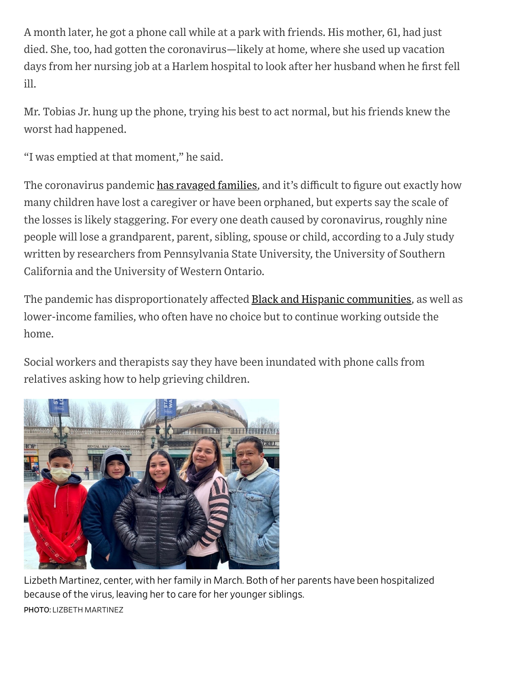A month later, he got a phone call while at a park with friends. His mother, 61, had just died. She, too, had gotten the coronavirus—likely at home, where she used up vacation days from her nursing job at a Harlem hospital to look after her husband when he first fell ill.

Mr. Tobias Jr. hung up the phone, trying his best to act normal, but his friends knew the worst had happened.

"I was emptied at that moment," he said.

The coronavirus pandemic has [ravaged](https://www.wsj.com/articles/im-sorry-i-cant-kiss-youcoronavirus-victims-are-dying-alone-11586534526) families, and it's difficult to figure out exactly how many children have lost a caregiver or have been orphaned, but experts say the scale of the losses is likely staggering. For every one death caused by coronavirus, roughly nine people will lose a grandparent, parent, sibling, spouse or child, according to a July study written by researchers from Pennsylvania State University, the University of Southern California and the University of Western Ontario.

The pandemic has disproportionately affected **Black and Hispanic communities**, as well as lower-income families, who often have no choice but to continue working outside the home.

Social workers and therapists say they have been inundated with phone calls from relatives asking how to help grieving children.



Lizbeth Martinez, center, with her family in March. Both of her parents have been hospitalized because of the virus, leaving her to care for her younger siblings. PHOTO: LIZBETH MARTINEZ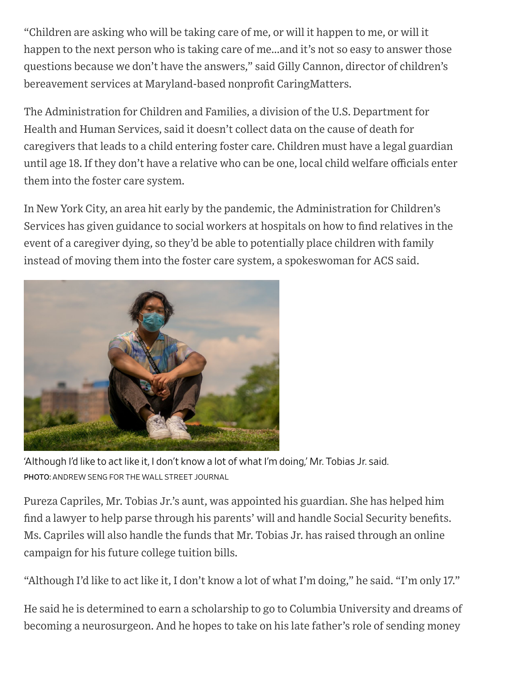"Children are asking who will be taking care of me, or will it happen to me, or will it happen to the next person who is taking care of me…and it's not so easy to answer those questions because we don't have the answers," said Gilly Cannon, director of children's bereavement services at Maryland-based nonprofit CaringMatters.

The Administration for Children and Families, a division of the U.S. Department for Health and Human Services, said it doesn't collect data on the cause of death for caregivers that leads to a child entering foster care. Children must have a legal guardian until age 18. If they don't have a relative who can be one, local child welfare officials enter them into the foster care system.

In New York City, an area hit early by the pandemic, the Administration for Children's Services has given guidance to social workers at hospitals on how to find relatives in the event of a caregiver dying, so they'd be able to potentially place children with family instead of moving them into the foster care system, a spokeswoman for ACS said.



'Although I'd like to act like it, I don't know a lot of what I'm doing,' Mr. Tobias Jr. said. PHOTO: ANDREW SENG FOR THE WALL STREET JOURNAL

Pureza Capriles, Mr. Tobias Jr.'s aunt, was appointed his guardian. She has helped him find a lawyer to help parse through his parents' will and handle Social Security benefits. Ms. Capriles will also handle the funds that Mr. Tobias Jr. has raised through an online campaign for his future college tuition bills.

"Although I'd like to act like it, I don't know a lot of what I'm doing," he said. "I'm only 17."

He said he is determined to earn a scholarship to go to Columbia University and dreams of becoming a neurosurgeon. And he hopes to take on his late father's role of sending money